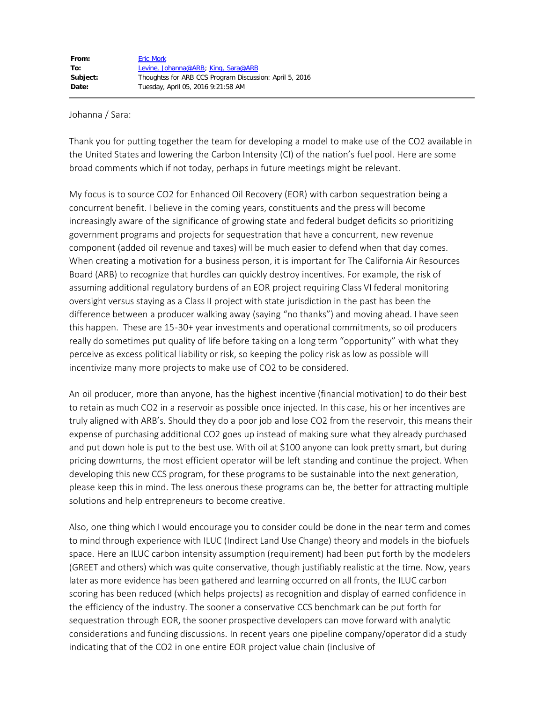## Johanna / Sara:

Thank you for putting together the team for developing a model to make use of the CO2 available in the United States and lowering the Carbon Intensity (CI) of the nation's fuel pool. Here are some broad comments which if not today, perhaps in future meetings might be relevant.

My focus is to source CO2 for Enhanced Oil Recovery (EOR) with carbon sequestration being a concurrent benefit. I believe in the coming years, constituents and the press will become increasingly aware of the significance of growing state and federal budget deficits so prioritizing government programs and projects for sequestration that have a concurrent, new revenue component (added oil revenue and taxes) will be much easier to defend when that day comes. When creating a motivation for a business person, it is important for The California Air Resources Board (ARB) to recognize that hurdles can quickly destroy incentives. For example, the risk of assuming additional regulatory burdens of an EOR project requiring Class VI federal monitoring oversight versus staying as a Class II project with state jurisdiction in the past has been the difference between a producer walking away (saying "no thanks") and moving ahead. I have seen this happen. These are 15-30+ year investments and operational commitments, so oil producers really do sometimes put quality of life before taking on a long term "opportunity" with what they perceive as excess political liability or risk, so keeping the policy risk as low as possible will incentivize many more projects to make use of CO2 to be considered.

An oil producer, more than anyone, has the highest incentive (financial motivation) to do their best to retain as much CO2 in a reservoir as possible once injected. In this case, his or her incentives are truly aligned with ARB's. Should they do a poor job and lose CO2 from the reservoir, this means their expense of purchasing additional CO2 goes up instead of making sure what they already purchased and put down hole is put to the best use. With oil at \$100 anyone can look pretty smart, but during pricing downturns, the most efficient operator will be left standing and continue the project. When developing this new CCS program, for these programs to be sustainable into the next generation, please keep this in mind. The less onerous these programs can be, the better for attracting multiple solutions and help entrepreneurs to become creative.

Also, one thing which I would encourage you to consider could be done in the near term and comes to mind through experience with ILUC (Indirect Land Use Change) theory and models in the biofuels space. Here an ILUC carbon intensity assumption (requirement) had been put forth by the modelers (GREET and others) which was quite conservative, though justifiably realistic at the time. Now, years later as more evidence has been gathered and learning occurred on all fronts, the ILUC carbon scoring has been reduced (which helps projects) as recognition and display of earned confidence in the efficiency of the industry. The sooner a conservative CCS benchmark can be put forth for sequestration through EOR, the sooner prospective developers can move forward with analytic considerations and funding discussions. In recent years one pipeline company/operator did a study indicating that of the CO2 in one entire EOR project value chain (inclusive of